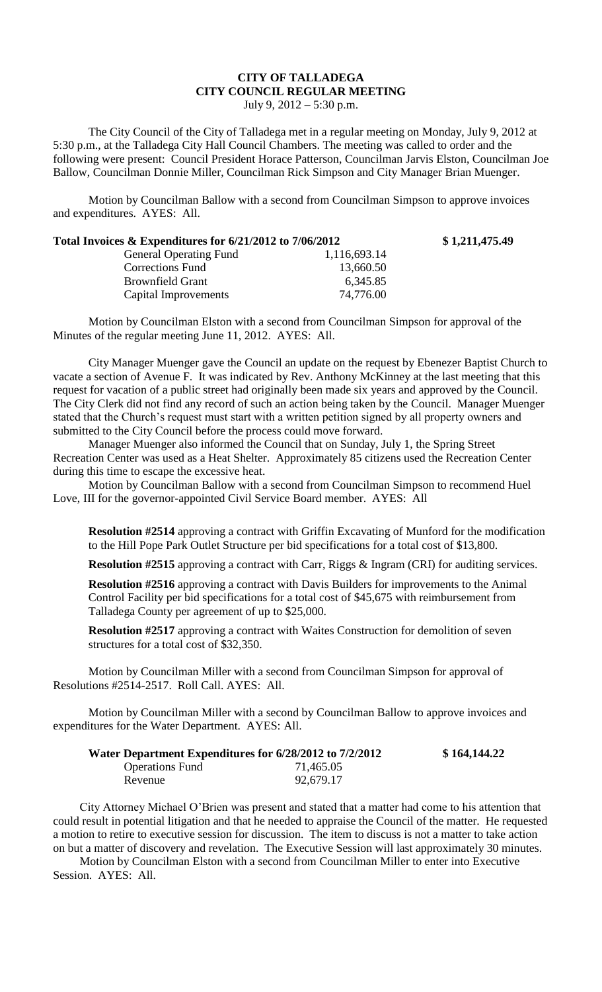## **CITY OF TALLADEGA CITY COUNCIL REGULAR MEETING**

July 9, 2012 – 5:30 p.m.

The City Council of the City of Talladega met in a regular meeting on Monday, July 9, 2012 at 5:30 p.m., at the Talladega City Hall Council Chambers. The meeting was called to order and the following were present: Council President Horace Patterson, Councilman Jarvis Elston, Councilman Joe Ballow, Councilman Donnie Miller, Councilman Rick Simpson and City Manager Brian Muenger.

Motion by Councilman Ballow with a second from Councilman Simpson to approve invoices and expenditures. AYES: All.

| Total Invoices $\&$ Expenditures for $6/21/2012$ to $7/06/2012$ | \$1,211,475.49 |
|-----------------------------------------------------------------|----------------|
| 1,116,693.14                                                    |                |
| 13,660.50                                                       |                |
| 6,345.85                                                        |                |
| 74,776.00                                                       |                |
|                                                                 |                |

Motion by Councilman Elston with a second from Councilman Simpson for approval of the Minutes of the regular meeting June 11, 2012. AYES: All.

City Manager Muenger gave the Council an update on the request by Ebenezer Baptist Church to vacate a section of Avenue F. It was indicated by Rev. Anthony McKinney at the last meeting that this request for vacation of a public street had originally been made six years and approved by the Council. The City Clerk did not find any record of such an action being taken by the Council. Manager Muenger stated that the Church's request must start with a written petition signed by all property owners and submitted to the City Council before the process could move forward.

Manager Muenger also informed the Council that on Sunday, July 1, the Spring Street Recreation Center was used as a Heat Shelter. Approximately 85 citizens used the Recreation Center during this time to escape the excessive heat.

Motion by Councilman Ballow with a second from Councilman Simpson to recommend Huel Love, III for the governor-appointed Civil Service Board member. AYES: All

**Resolution #2514** approving a contract with Griffin Excavating of Munford for the modification to the Hill Pope Park Outlet Structure per bid specifications for a total cost of \$13,800.

**Resolution #2515** approving a contract with Carr, Riggs & Ingram (CRI) for auditing services.

**Resolution #2516** approving a contract with Davis Builders for improvements to the Animal Control Facility per bid specifications for a total cost of \$45,675 with reimbursement from Talladega County per agreement of up to \$25,000.

**Resolution #2517** approving a contract with Waites Construction for demolition of seven structures for a total cost of \$32,350.

Motion by Councilman Miller with a second from Councilman Simpson for approval of Resolutions #2514-2517. Roll Call. AYES: All.

Motion by Councilman Miller with a second by Councilman Ballow to approve invoices and expenditures for the Water Department. AYES: All.

| Water Department Expenditures for 6/28/2012 to 7/2/2012 |           | \$164,144.22 |
|---------------------------------------------------------|-----------|--------------|
| <b>Operations Fund</b>                                  | 71,465.05 |              |
| Revenue                                                 | 92,679.17 |              |

City Attorney Michael O'Brien was present and stated that a matter had come to his attention that could result in potential litigation and that he needed to appraise the Council of the matter. He requested a motion to retire to executive session for discussion. The item to discuss is not a matter to take action on but a matter of discovery and revelation. The Executive Session will last approximately 30 minutes.

Motion by Councilman Elston with a second from Councilman Miller to enter into Executive Session. AYES: All.